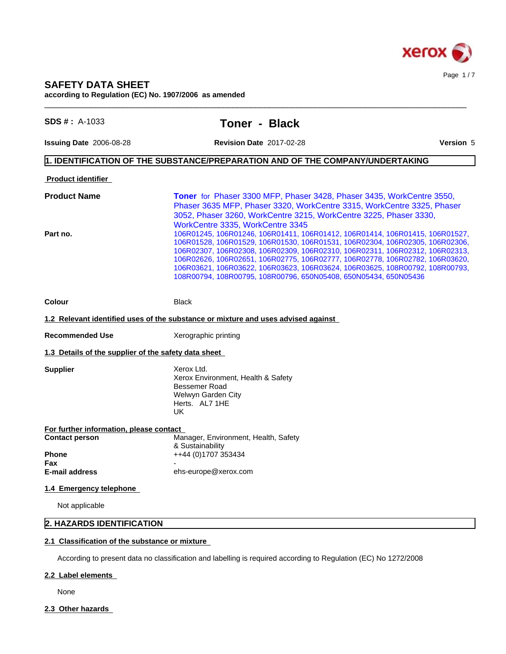

# **SAFETY DATA SHEET**

**according to Regulation (EC) No. 1907/2006 as amended**

| <b>SDS #</b> : $A-1033$                              | <b>Toner - Black</b>                                                                                                                                                                                                                                                                                                                                                                                                                                                             |  |
|------------------------------------------------------|----------------------------------------------------------------------------------------------------------------------------------------------------------------------------------------------------------------------------------------------------------------------------------------------------------------------------------------------------------------------------------------------------------------------------------------------------------------------------------|--|
| Issuing Date 2006-08-28                              | <b>Revision Date 2017-02-28</b><br><b>Version 5</b>                                                                                                                                                                                                                                                                                                                                                                                                                              |  |
|                                                      | $\vert$ 1. IDENTIFICATION OF THE SUBSTANCE/PREPARATION AND OF THE COMPANY/UNDERTAKING                                                                                                                                                                                                                                                                                                                                                                                            |  |
| <b>Product identifier</b>                            |                                                                                                                                                                                                                                                                                                                                                                                                                                                                                  |  |
| <b>Product Name</b>                                  | <b>Toner</b> for Phaser 3300 MFP, Phaser 3428, Phaser 3435, WorkCentre 3550,<br>Phaser 3635 MFP, Phaser 3320, WorkCentre 3315, WorkCentre 3325, Phaser<br>3052, Phaser 3260, WorkCentre 3215, WorkCentre 3225, Phaser 3330,<br>WorkCentre 3335, WorkCentre 3345                                                                                                                                                                                                                  |  |
| Part no.                                             | 106R01245, 106R01246, 106R01411, 106R01412, 106R01414, 106R01415, 106R01527,<br>106R01528, 106R01529, 106R01530, 106R01531, 106R02304, 106R02305, 106R02306,<br>106R02307, 106R02308, 106R02309, 106R02310, 106R02311, 106R02312, 106R02313,<br>106R02626, 106R02651, 106R02775, 106R02777, 106R02778, 106R02782, 106R03620,<br>106R03621, 106R03622, 106R03623, 106R03624, 106R03625, 108R00792, 108R00793,<br>108R00794, 108R00795, 108R00796, 650N05408, 650N05434, 650N05436 |  |
| Colour                                               | <b>Black</b>                                                                                                                                                                                                                                                                                                                                                                                                                                                                     |  |
|                                                      | 1.2 Relevant identified uses of the substance or mixture and uses advised against                                                                                                                                                                                                                                                                                                                                                                                                |  |
| <b>Recommended Use</b>                               | Xerographic printing                                                                                                                                                                                                                                                                                                                                                                                                                                                             |  |
| 1.3 Details of the supplier of the safety data sheet |                                                                                                                                                                                                                                                                                                                                                                                                                                                                                  |  |
| <b>Supplier</b>                                      | Xerox Ltd.<br>Xerox Environment, Health & Safety<br>Bessemer Road<br>Welwyn Garden City<br>Herts. AL7 1HE<br>UK.                                                                                                                                                                                                                                                                                                                                                                 |  |
| For further information, please contact              |                                                                                                                                                                                                                                                                                                                                                                                                                                                                                  |  |
| <b>Contact person</b>                                | Manager, Environment, Health, Safety<br>& Sustainability                                                                                                                                                                                                                                                                                                                                                                                                                         |  |
| <b>Phone</b><br>Fax                                  | ++44 (0)1707 353434                                                                                                                                                                                                                                                                                                                                                                                                                                                              |  |
| E-mail address                                       | ehs-europe@xerox.com                                                                                                                                                                                                                                                                                                                                                                                                                                                             |  |
| 1.4 Emergency telephone                              |                                                                                                                                                                                                                                                                                                                                                                                                                                                                                  |  |
| Not applicable                                       |                                                                                                                                                                                                                                                                                                                                                                                                                                                                                  |  |
| 2. HAZARDS IDENTIFICATION                            |                                                                                                                                                                                                                                                                                                                                                                                                                                                                                  |  |

According to present data no classification and labelling is required according to Regulation (EC) No 1272/2008

### **2.2 Label elements**

None

2.3 Other hazards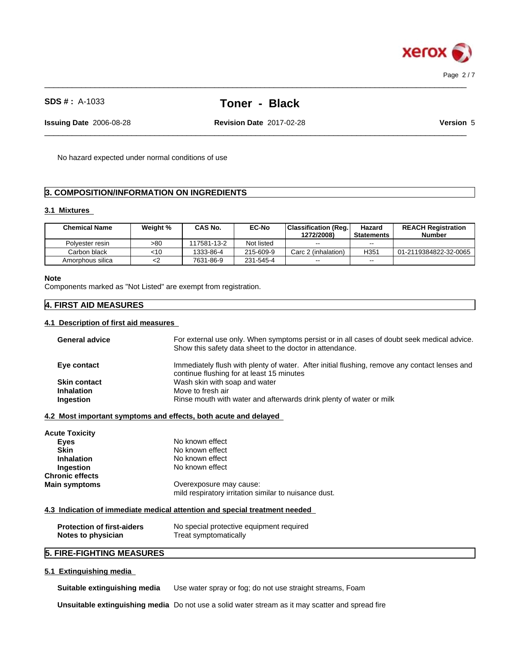

 $\_$  ,  $\_$  ,  $\_$  ,  $\_$  ,  $\_$  ,  $\_$  ,  $\_$  ,  $\_$  ,  $\_$  ,  $\_$  ,  $\_$  ,  $\_$  ,  $\_$  ,  $\_$  ,  $\_$  ,  $\_$  ,  $\_$  ,  $\_$  ,  $\_$  ,  $\_$  ,  $\_$  ,  $\_$  ,  $\_$  ,  $\_$  ,  $\_$  ,  $\_$  ,  $\_$  ,  $\_$  ,  $\_$  ,  $\_$  ,  $\_$  ,  $\_$  ,  $\_$  ,  $\_$  ,  $\_$  ,  $\_$  ,  $\_$  ,

**Issuing Date** 2006-08-28 **Revision Date** 2017-02-28 **Version** 5

 $\_$  ,  $\_$  ,  $\_$  ,  $\_$  ,  $\_$  ,  $\_$  ,  $\_$  ,  $\_$  ,  $\_$  ,  $\_$  ,  $\_$  ,  $\_$  ,  $\_$  ,  $\_$  ,  $\_$  ,  $\_$  ,  $\_$  ,  $\_$  ,  $\_$  ,  $\_$  ,  $\_$  ,  $\_$  ,  $\_$  ,  $\_$  ,  $\_$  ,  $\_$  ,  $\_$  ,  $\_$  ,  $\_$  ,  $\_$  ,  $\_$  ,  $\_$  ,  $\_$  ,  $\_$  ,  $\_$  ,  $\_$  ,  $\_$  ,

No hazard expected under normal conditions of use

### **3. COMPOSITION/INFORMATION ON INGREDIENTS**

#### **3.1 Mixtures**

| <b>Chemical Name</b> | Weight % | CAS No.     | <b>EC-No</b> | <b>Classification (Reg.</b><br>1272/2008) | Hazard<br>Statements | <b>REACH Registration</b><br><b>Number</b> |
|----------------------|----------|-------------|--------------|-------------------------------------------|----------------------|--------------------------------------------|
| Polvester resin      | >80      | 117581-13-2 | Not listed   | $- -$                                     | $- -$                |                                            |
| Carbon black         | <10      | 1333-86-4   | 215-609-9    | Carc 2 (inhalation)                       | H <sub>351</sub>     | 01-2119384822-32-0065                      |
| Amorphous silica     | ≺∠       | 7631-86-9   | 231-545-4    | $- -$                                     | $- -$                |                                            |

#### **Note**

Components marked as "Not Listed" are exempt from registration.

### **4. FIRST AID MEASURES**

### **4.1 Description of first aid measures**

| <b>General advice</b> | For external use only. When symptoms persist or in all cases of doubt seek medical advice.<br>Show this safety data sheet to the doctor in attendance. |  |  |
|-----------------------|--------------------------------------------------------------------------------------------------------------------------------------------------------|--|--|
| Eye contact           | Immediately flush with plenty of water. After initial flushing, remove any contact lenses and<br>continue flushing for at least 15 minutes             |  |  |
| <b>Skin contact</b>   | Wash skin with soap and water                                                                                                                          |  |  |
| <b>Inhalation</b>     | Move to fresh air                                                                                                                                      |  |  |
| Ingestion             | Rinse mouth with water and afterwards drink plenty of water or milk                                                                                    |  |  |
|                       |                                                                                                                                                        |  |  |

#### **4.2 Most important symptoms and effects, both acute and delayed**

| <b>Acute Toxicity</b>  |                                                                                  |
|------------------------|----------------------------------------------------------------------------------|
| <b>Eves</b>            | No known effect                                                                  |
| Skin                   | No known effect                                                                  |
| <b>Inhalation</b>      | No known effect                                                                  |
| Ingestion              | No known effect                                                                  |
| <b>Chronic effects</b> |                                                                                  |
| <b>Main symptoms</b>   | Overexposure may cause:<br>mild respiratory irritation similar to nuisance dust. |

### **4.3 Indication of immediate medical attention and special treatment needed**

| <b>Protection of first-aiders</b> | No special protective equipment required |
|-----------------------------------|------------------------------------------|
| Notes to physician                | Treat symptomatically                    |

### **5. FIRE-FIGHTING MEASURES**

### **5.1 Extinguishing media**

**Suitable extinguishing media** Use water spray or fog; do not use straight streams, Foam

**Unsuitable extinguishing media** Do not use a solid water stream as it may scatterand spread fire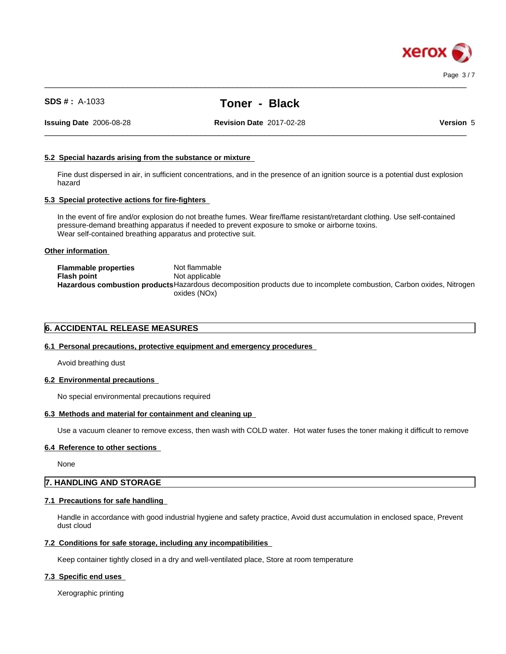

 $\_$  ,  $\_$  ,  $\_$  ,  $\_$  ,  $\_$  ,  $\_$  ,  $\_$  ,  $\_$  ,  $\_$  ,  $\_$  ,  $\_$  ,  $\_$  ,  $\_$  ,  $\_$  ,  $\_$  ,  $\_$  ,  $\_$  ,  $\_$  ,  $\_$  ,  $\_$  ,  $\_$  ,  $\_$  ,  $\_$  ,  $\_$  ,  $\_$  ,  $\_$  ,  $\_$  ,  $\_$  ,  $\_$  ,  $\_$  ,  $\_$  ,  $\_$  ,  $\_$  ,  $\_$  ,  $\_$  ,  $\_$  ,  $\_$  ,

**Issuing Date** 2006-08-28 **Revision Date** 2017-02-28 **Version** 5

 $\_$  ,  $\_$  ,  $\_$  ,  $\_$  ,  $\_$  ,  $\_$  ,  $\_$  ,  $\_$  ,  $\_$  ,  $\_$  ,  $\_$  ,  $\_$  ,  $\_$  ,  $\_$  ,  $\_$  ,  $\_$  ,  $\_$  ,  $\_$  ,  $\_$  ,  $\_$  ,  $\_$  ,  $\_$  ,  $\_$  ,  $\_$  ,  $\_$  ,  $\_$  ,  $\_$  ,  $\_$  ,  $\_$  ,  $\_$  ,  $\_$  ,  $\_$  ,  $\_$  ,  $\_$  ,  $\_$  ,  $\_$  ,  $\_$  ,

#### **5.2 Special hazards arising from the substance or mixture**

Fine dust dispersed in air, in sufficient concentrations, and in the presence of an ignition source is a potential dust explosion hazard

#### **5.3 Special protective actions for fire-fighters**

In the event of fire and/or explosion do not breathe fumes. Wear fire/flame resistant/retardant clothing. Use self-contained pressure-demand breathing apparatus if needed to prevent exposure to smoke or airborne toxins. Wear self-contained breathing apparatus and protective suit.

#### **Other information**

| <b>Flammable properties</b> | Not flammable                                                                                                        |
|-----------------------------|----------------------------------------------------------------------------------------------------------------------|
| <b>Flash point</b>          | Not applicable                                                                                                       |
|                             | Hazardous combustion products Hazardous decomposition products due to incomplete combustion, Carbon oxides, Nitrogen |
|                             | oxides (NOx).                                                                                                        |

#### **6. ACCIDENTAL RELEASE MEASURES**

#### **6.1 Personal precautions, protective equipment and emergency procedures**

Avoid breathing dust

#### **6.2 Environmental precautions**

No special environmental precautions required

#### **6.3 Methods and material for containment and cleaning up**

Use a vacuum cleaner to remove excess, then wash with COLD water. Hot water fuses the toner making it difficult to remove

#### **6.4 Reference to other sections**

None

### **7. HANDLING AND STORAGE**

#### **7.1 Precautions for safe handling**

Handle in accordance with good industrial hygiene and safety practice, Avoid dust accumulation in enclosed space, Prevent dust cloud

#### **7.2 Conditions for safe storage, including any incompatibilities**

Keep container tightly closed in a dry and well-ventilated place, Store at room temperature

### **7.3 Specific end uses**

Xerographic printing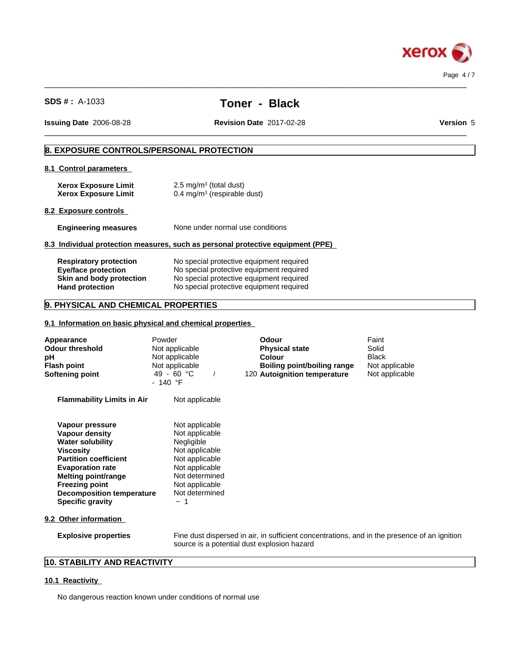

 $\_$  ,  $\_$  ,  $\_$  ,  $\_$  ,  $\_$  ,  $\_$  ,  $\_$  ,  $\_$  ,  $\_$  ,  $\_$  ,  $\_$  ,  $\_$  ,  $\_$  ,  $\_$  ,  $\_$  ,  $\_$  ,  $\_$  ,  $\_$  ,  $\_$  ,  $\_$  ,  $\_$  ,  $\_$  ,  $\_$  ,  $\_$  ,  $\_$  ,  $\_$  ,  $\_$  ,  $\_$  ,  $\_$  ,  $\_$  ,  $\_$  ,  $\_$  ,  $\_$  ,  $\_$  ,  $\_$  ,  $\_$  ,  $\_$  ,

 $\_$  ,  $\_$  ,  $\_$  ,  $\_$  ,  $\_$  ,  $\_$  ,  $\_$  ,  $\_$  ,  $\_$  ,  $\_$  ,  $\_$  ,  $\_$  ,  $\_$  ,  $\_$  ,  $\_$  ,  $\_$  ,  $\_$  ,  $\_$  ,  $\_$  ,  $\_$  ,  $\_$  ,  $\_$  ,  $\_$  ,  $\_$  ,  $\_$  ,  $\_$  ,  $\_$  ,  $\_$  ,  $\_$  ,  $\_$  ,  $\_$  ,  $\_$  ,  $\_$  ,  $\_$  ,  $\_$  ,  $\_$  ,  $\_$  ,

**Issuing Date** 2006-08-28 **Revision Date** 2017-02-28 **Version** 5

### **8. EXPOSURE CONTROLS/PERSONAL PROTECTION**

### **8.1 Control parameters**

| <b>Xerox Exposure Limit</b> | $2.5 \text{ mg/m}^3$ (total dust)      |
|-----------------------------|----------------------------------------|
| <b>Xerox Exposure Limit</b> | $0.4 \text{ mg/m}^3$ (respirable dust) |

#### **8.2 Exposure controls**

### **Engineering measures** None under normal use conditions

#### **8.3 Individual protection measures, such as personal protective equipment (PPE)**

| <b>Respiratory protection</b> | No special protective equipment required |  |
|-------------------------------|------------------------------------------|--|
| Eye/face protection           | No special protective equipment required |  |
| Skin and body protection      | No special protective equipment required |  |
| <b>Hand protection</b>        | No special protective equipment required |  |

### **9. PHYSICAL AND CHEMICAL PROPERTIES**

### **9.1 Information on basic physical and chemical properties**

| <b>Appearance</b><br><b>Odour threshold</b><br>pH<br><b>Flash point</b><br><b>Softening point</b>                                                                                                                                                                        | Powder<br>Not applicable<br>Not applicable<br>Not applicable<br>49 - 60 °C<br>$-140$ °F                                                                                  | <b>Odour</b><br><b>Physical state</b><br>Colour<br>Boiling point/boiling range<br>120 Autoignition temperature                              | Faint<br>Solid<br><b>Black</b><br>Not applicable<br>Not applicable |
|--------------------------------------------------------------------------------------------------------------------------------------------------------------------------------------------------------------------------------------------------------------------------|--------------------------------------------------------------------------------------------------------------------------------------------------------------------------|---------------------------------------------------------------------------------------------------------------------------------------------|--------------------------------------------------------------------|
| <b>Flammability Limits in Air</b>                                                                                                                                                                                                                                        | Not applicable                                                                                                                                                           |                                                                                                                                             |                                                                    |
| Vapour pressure<br><b>Vapour density</b><br><b>Water solubility</b><br><b>Viscosity</b><br><b>Partition coefficient</b><br><b>Evaporation rate</b><br><b>Melting point/range</b><br><b>Freezing point</b><br><b>Decomposition temperature</b><br><b>Specific gravity</b> | Not applicable<br>Not applicable<br>Negligible<br>Not applicable<br>Not applicable<br>Not applicable<br>Not determined<br>Not applicable<br>Not determined<br>$~\sim~$ 1 |                                                                                                                                             |                                                                    |
| 9.2 Other information                                                                                                                                                                                                                                                    |                                                                                                                                                                          |                                                                                                                                             |                                                                    |
| <b>Explosive properties</b>                                                                                                                                                                                                                                              |                                                                                                                                                                          | Fine dust dispersed in air, in sufficient concentrations, and in the presence of an ignition<br>source is a potential dust explosion hazard |                                                                    |

### **10. STABILITY AND REACTIVITY**

#### **10.1 Reactivity**

No dangerous reaction known under conditions of normal use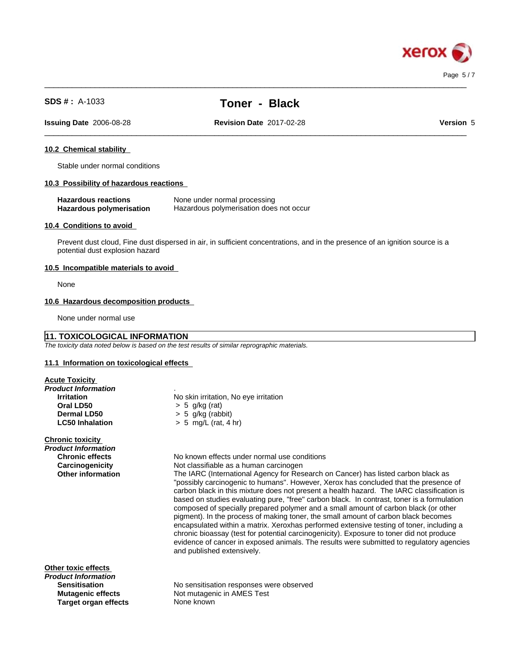

 $\_$  ,  $\_$  ,  $\_$  ,  $\_$  ,  $\_$  ,  $\_$  ,  $\_$  ,  $\_$  ,  $\_$  ,  $\_$  ,  $\_$  ,  $\_$  ,  $\_$  ,  $\_$  ,  $\_$  ,  $\_$  ,  $\_$  ,  $\_$  ,  $\_$  ,  $\_$  ,  $\_$  ,  $\_$  ,  $\_$  ,  $\_$  ,  $\_$  ,  $\_$  ,  $\_$  ,  $\_$  ,  $\_$  ,  $\_$  ,  $\_$  ,  $\_$  ,  $\_$  ,  $\_$  ,  $\_$  ,  $\_$  ,  $\_$  ,

 $\_$  ,  $\_$  ,  $\_$  ,  $\_$  ,  $\_$  ,  $\_$  ,  $\_$  ,  $\_$  ,  $\_$  ,  $\_$  ,  $\_$  ,  $\_$  ,  $\_$  ,  $\_$  ,  $\_$  ,  $\_$  ,  $\_$  ,  $\_$  ,  $\_$  ,  $\_$  ,  $\_$  ,  $\_$  ,  $\_$  ,  $\_$  ,  $\_$  ,  $\_$  ,  $\_$  ,  $\_$  ,  $\_$  ,  $\_$  ,  $\_$  ,  $\_$  ,  $\_$  ,  $\_$  ,  $\_$  ,  $\_$  ,  $\_$  ,

**Issuing Date** 2006-08-28 **Revision Date** 2017-02-28 **Version** 5

### **10.2 Chemical stability**

Stable under normal conditions

#### **10.3 Possibility of hazardous reactions**

| <b>Hazardous reactions</b>      | None under normal processing            |
|---------------------------------|-----------------------------------------|
| <b>Hazardous polymerisation</b> | Hazardous polymerisation does not occur |

#### **10.4 Conditions to avoid**

Prevent dust cloud, Fine dust dispersed in air, in sufficient concentrations, and in the presence of an ignition source is a potential dust explosion hazard

#### **10.5 Incompatible materials to avoid**

None

#### **10.6 Hazardous decomposition products**

None under normal use

### **11. TOXICOLOGICAL INFORMATION**

*The toxicity data noted below is based on the test results of similar reprographic materials.*

#### **11.1 Information on toxicologicaleffects**

| <b>Acute Toxicity</b> |  |
|-----------------------|--|
|                       |  |

| Product Information      |                                                                                            |
|--------------------------|--------------------------------------------------------------------------------------------|
| <b>Irritation</b>        | No skin irritation, No eye irritation                                                      |
| Oral LD50                | $> 5$ g/kg (rat)                                                                           |
| <b>Dermal LD50</b>       | $> 5$ g/kg (rabbit)                                                                        |
| <b>LC50 Inhalation</b>   | $> 5$ mg/L (rat, 4 hr)                                                                     |
| <b>Chronic toxicity</b>  |                                                                                            |
| Product Information      |                                                                                            |
| <b>Chronic effects</b>   | No known effects under normal use conditions                                               |
| Carcinogenicity          | Not classifiable as a human carcinogen                                                     |
| <b>Other information</b> | The IARC (International Agency for Research on Cancer) has listed carbon black as          |
|                          | "possibly carcinogenic to humans". However, Xerox has concluded that the presence of       |
|                          | carbon black in this mixture does not present a health hazard. The IARC classification is  |
|                          | based on studies evaluating pure, "free" carbon black. In contrast, toner is a formulation |
|                          | composed of specially prepared polymer and a small amount of carbon black (or other        |
|                          | pigment). In the process of making toner, the small amount of carbon black becomes         |
|                          | encapsulated within a matrix. Xeroxhas performed extensive testing of toner, including a   |
|                          | chronic bioassay (test for potential carcinogenicity). Exposure to toner did not produce   |
|                          | evidence of cancer in exposed animals. The results were submitted to regulatory agencies   |
|                          | and published extensively.                                                                 |
|                          |                                                                                            |
| Other toxic effects      |                                                                                            |
| Product Information      |                                                                                            |
| <b>Sensitisation</b>     | No sensitisation responses were observed                                                   |
|                          |                                                                                            |

**Target organ effects** 

**Mutagenic effects** Not mutagenic in AMES Test<br> **Target organ effects** None known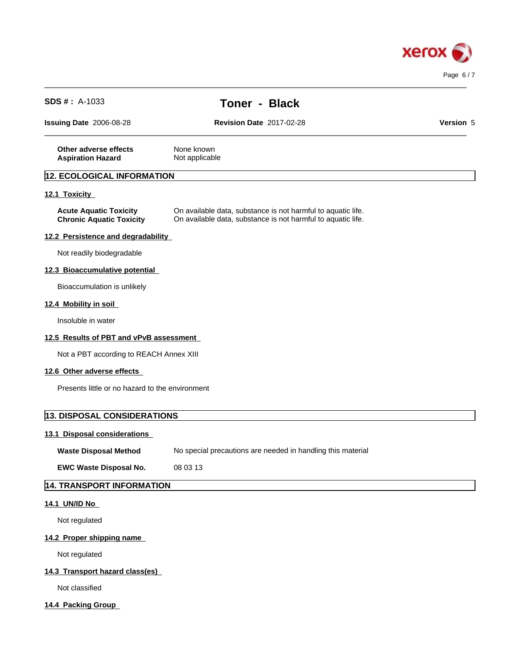

| <b>SDS #</b> : $A-1033$                                          | <b>Toner - Black</b>                                                                                                         |           |
|------------------------------------------------------------------|------------------------------------------------------------------------------------------------------------------------------|-----------|
| Issuing Date 2006-08-28                                          | <b>Revision Date 2017-02-28</b>                                                                                              | Version 5 |
| Other adverse effects<br><b>Aspiration Hazard</b>                | None known<br>Not applicable                                                                                                 |           |
| 12. ECOLOGICAL INFORMATION                                       |                                                                                                                              |           |
| 12.1 Toxicity                                                    |                                                                                                                              |           |
| <b>Acute Aquatic Toxicity</b><br><b>Chronic Aquatic Toxicity</b> | On available data, substance is not harmful to aquatic life.<br>On available data, substance is not harmful to aquatic life. |           |
| 12.2 Persistence and degradability                               |                                                                                                                              |           |
| Not readily biodegradable                                        |                                                                                                                              |           |
| 12.3 Bioaccumulative potential                                   |                                                                                                                              |           |
| Bioaccumulation is unlikely                                      |                                                                                                                              |           |
| 12.4 Mobility in soil                                            |                                                                                                                              |           |
| Insoluble in water                                               |                                                                                                                              |           |
| 12.5 Results of PBT and vPvB assessment                          |                                                                                                                              |           |
| Not a PBT according to REACH Annex XIII                          |                                                                                                                              |           |
| 12.6 Other adverse effects                                       |                                                                                                                              |           |
| Presents little or no hazard to the environment                  |                                                                                                                              |           |
| 13. DISPOSAL CONSIDERATIONS                                      |                                                                                                                              |           |
| 13.1 Disposal considerations                                     |                                                                                                                              |           |
| <b>Waste Disposal Method</b>                                     | No special precautions are needed in handling this material                                                                  |           |
| <b>EWC Waste Disposal No.</b>                                    | 08 03 13                                                                                                                     |           |
| <b>14. TRANSPORT INFORMATION</b>                                 |                                                                                                                              |           |
| 14.1 UN/ID No                                                    |                                                                                                                              |           |
| Not regulated                                                    |                                                                                                                              |           |
| 14.2 Proper shipping name                                        |                                                                                                                              |           |
| Not regulated                                                    |                                                                                                                              |           |
| 14.3 Transport hazard class(es)                                  |                                                                                                                              |           |
| Not classified                                                   |                                                                                                                              |           |
|                                                                  |                                                                                                                              |           |

 $\_$  ,  $\_$  ,  $\_$  ,  $\_$  ,  $\_$  ,  $\_$  ,  $\_$  ,  $\_$  ,  $\_$  ,  $\_$  ,  $\_$  ,  $\_$  ,  $\_$  ,  $\_$  ,  $\_$  ,  $\_$  ,  $\_$  ,  $\_$  ,  $\_$  ,  $\_$  ,  $\_$  ,  $\_$  ,  $\_$  ,  $\_$  ,  $\_$  ,  $\_$  ,  $\_$  ,  $\_$  ,  $\_$  ,  $\_$  ,  $\_$  ,  $\_$  ,  $\_$  ,  $\_$  ,  $\_$  ,  $\_$  ,  $\_$  ,

**14.4 Packing Group**